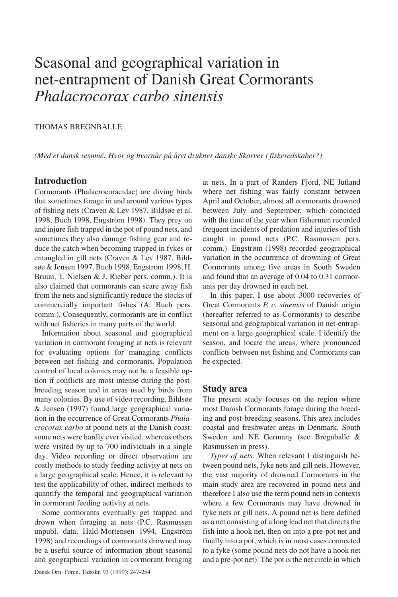# Seasonal and geographical variation in net-entrapment of Danish Great Cormorants *Phalacrocorax carbo sinensis*

#### THOMAS BREGNBALLE

*(Med et dansk resumé: Hvor og hvornår på året drukner danske Skarver i fiskeredskaber?)*

# **Introduction**

Cormorants (Phalacrocoracidae) are diving birds that sometimes forage in and around various types of fishing nets (Craven & Lev 1987, Bildsøe et al. 1998, Buch 1998, Engström 1998). They prey on and injure fish trapped in the pot of pound nets, and sometimes they also damage fishing gear and reduce the catch when becoming trapped in fykes or entangled in gill nets (Craven & Lev 1987, Bildsøe & Jensen 1997, Buch 1998, Engström 1998, H. Bruun, T. Nielsen & J. Rieber pers. comm.). It is also claimed that cormorants can scare away fish from the nets and significantly reduce the stocks of commercially important fishes (A. Buch pers. comm.). Consequently, cormorants are in conflict with net fisheries in many parts of the world.

Information about seasonal and geographical variation in cormorant foraging at nets is relevant for evaluating options for managing conflicts between net fishing and cormorants. Population control of local colonies may not be a feasible option if conflicts are most intense during the postbreeding season and in areas used by birds from many colonies. By use of video recording, Bildsøe & Jensen (1997) found large geographical variation in the occurrence of Great Cormorants *Phalacrocorax carbo* at pound nets at the Danish coast: some nets were hardly ever visited, whereas others were visited by up to 700 individuals in a single day. Video recording or direct observation are costly methods to study feeding activity at nets on a large geographical scale. Hence, it is relevant to test the applicability of other, indirect methods to quantify the temporal and geographical variation in cormorant feeding activity at nets.

Some cormorants eventually get trapped and drown when foraging at nets (P.C. Rasmussen unpubl. data, Hald-Mortensen 1994, Engström 1998) and recordings of cormorants drowned may be a useful source of information about seasonal and geographical variation in cormorant foraging at nets. In a part of Randers Fjord, NE Jutland where net fishing was fairly constant between April and October, almost all cormorants drowned between July and September, which coincided with the time of the year when fishermen recorded frequent incidents of predation and injuries of fish caught in pound nets (P.C. Rasmussen pers. comm.). Engstrøm (1998) recorded geographical variation in the occurrence of drowning of Great Cormorants among five areas in South Sweden and found that an average of 0.04 to 0.31 cormorants per day drowned in each net.

In this paper, I use about 3000 recoveries of Great Cormorants *P. c. sinensis* of Danish origin (hereafter referred to as Cormorants) to describe seasonal and geographical variation in net-entrapment on a large geographical scale. I identify the season, and locate the areas, where pronounced conflicts between net fishing and Cormorants can be expected.

# **Study area**

The present study focuses on the region where most Danish Cormorants forage during the breeding and post-breeding seasons. This area includes coastal and freshwater areas in Denmark, South Sweden and NE Germany (see Bregnballe & Rasmussen in press).

*Types of nets.* When relevant I distinguish between pound nets, fyke nets and gill nets. However, the vast majority of drowned Cormorants in the main study area are recovered in pound nets and therefore I also use the term pound nets in contexts where a few Cormorants may have drowned in fyke nets or gill nets. A pound net is here defined as a net consisting of a long lead net that directs the fish into a hook net, then on into a pre-pot net and finally into a pot, which is in most cases connected to a fyke (some pound nets do not have a hook net and a pre-pot net). The pot is the net circle in which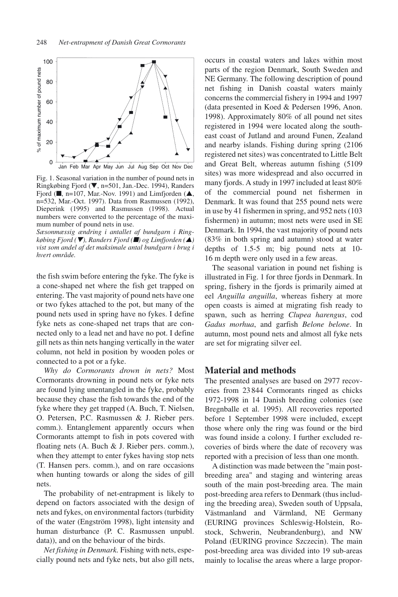

Fig. 1. Seasonal variation in the number of pound nets in Ringkøbing Fjord (▼, n=501, Jan.-Dec. 1994), Randers Fjord ( $\blacksquare$ , n=107, Mar.-Nov. 1991) and Limfjorden ( $\blacktriangle$ , n=532, Mar.-Oct. 1997). Data from Rasmussen (1992), Dieperink (1995) and Rasmussen (1998). Actual numbers were converted to the percentage of the maximum number of pound nets in use.

*Sæsonmæssig ændring i antallet af bundgarn i Ringkøbing Fjord (*▼*), Randers Fjord (*■*) og Limfjorden (*▲*) vist som andel af det maksimale antal bundgarn i brug i hvert område.*

the fish swim before entering the fyke. The fyke is a cone-shaped net where the fish get trapped on entering. The vast majority of pound nets have one or two fykes attached to the pot, but many of the pound nets used in spring have no fykes. I define fyke nets as cone-shaped net traps that are connected only to a lead net and have no pot. I define gill nets as thin nets hanging vertically in the water column, not held in position by wooden poles or connected to a pot or a fyke.

*Why do Cormorants drown in nets?* Most Cormorants drowning in pound nets or fyke nets are found lying unentangled in the fyke, probably because they chase the fish towards the end of the fyke where they get trapped (A. Buch, T. Nielsen, O. Petersen, P.C. Rasmussen & J. Rieber pers. comm.). Entanglement apparently occurs when Cormorants attempt to fish in pots covered with floating nets (A. Buch & J. Rieber pers. comm.), when they attempt to enter fykes having stop nets (T. Hansen pers. comm.), and on rare occasions when hunting towards or along the sides of gill nets.

The probability of net-entrapment is likely to depend on factors associated with the design of nets and fykes, on environmental factors (turbidity of the water (Engström 1998), light intensity and human disturbance (P. C. Rasmussen unpubl. data)), and on the behaviour of the birds.

*Net fishing in Denmark.* Fishing with nets, especially pound nets and fyke nets, but also gill nets, occurs in coastal waters and lakes within most parts of the region Denmark, South Sweden and NE Germany. The following description of pound net fishing in Danish coastal waters mainly concerns the commercial fishery in 1994 and 1997 (data presented in Koed & Pedersen 1996, Anon. 1998). Approximately 80% of all pound net sites registered in 1994 were located along the southeast coast of Jutland and around Funen, Zealand and nearby islands. Fishing during spring (2106 registered net sites) was concentrated to Little Belt and Great Belt, whereas autumn fishing (5109 sites) was more widespread and also occurred in many fjords. A study in 1997 included at least 80% of the commercial pound net fishermen in Denmark. It was found that 255 pound nets were in use by 41 fishermen in spring, and 952 nets (103 fishermen) in autumn; most nets were used in SE Denmark. In 1994, the vast majority of pound nets (83% in both spring and autumn) stood at water depths of 1.5-5 m; big pound nets at 10- 16 m depth were only used in a few areas.

The seasonal variation in pound net fishing is illustrated in Fig. 1 for three fjords in Denmark. In spring, fishery in the fjords is primarily aimed at eel *Anguilla anguilla*, whereas fishery at more open coasts is aimed at migrating fish ready to spawn, such as herring *Clupea harengus*, cod *Gadus morhua*, and garfish *Belone belone*. In autumn, most pound nets and almost all fyke nets are set for migrating silver eel.

## **Material and methods**

The presented analyses are based on 2977 recoveries from 23 844 Cormorants ringed as chicks 1972-1998 in 14 Danish breeding colonies (see Bregnballe et al. 1995). All recoveries reported before 1 September 1998 were included, except those where only the ring was found or the bird was found inside a colony. I further excluded recoveries of birds where the date of recovery was reported with a precision of less than one month.

A distinction was made between the "main postbreeding area" and staging and wintering areas south of the main post-breeding area. The main post-breeding area refers to Denmark (thus including the breeding area), Sweden south of Uppsala, Västmanland and Värmland, NE Germany (EURING provinces Schleswig-Holstein, Rostock, Schwerin, Neubrandenburg), and NW Poland (EURING province Szczecin). The main post-breeding area was divided into 19 sub-areas mainly to localise the areas where a large propor-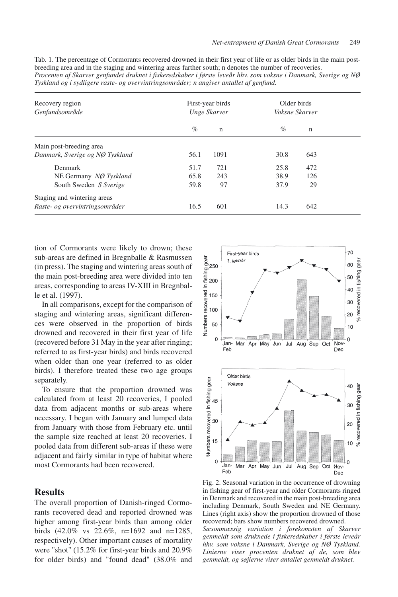| Tab. 1. The percentage of Cormorants recovered drowned in their first vear of life or as older birds in the main post- |
|------------------------------------------------------------------------------------------------------------------------|
| breeding area and in the staging and wintering areas farther south; n denotes the number of recoveries.                |
| Procenten af Skarver genfundet druknet i fiskeredskaber i første leveår hhv. som voksne i Danmark, Sverige og NØ       |
| Tyskland og i sydligere raste- og overvintringsområder; n angiver antallet af genfund.                                 |

| Recovery region<br>Genfundsområde | First-year birds<br>Unge Skarver |             | Older birds<br>Voksne Skarver |             |  |
|-----------------------------------|----------------------------------|-------------|-------------------------------|-------------|--|
|                                   | $\%$                             | $\mathbf n$ | $\%$                          | $\mathbf n$ |  |
| Main post-breeding area           |                                  |             |                               |             |  |
| Danmark, Sverige og NØ Tyskland   | 56.1                             | 1091        | 30.8                          | 643         |  |
| Denmark                           | 51.7                             | 721         | 25.8                          | 472         |  |
| NE Germany NØ Tyskland            | 65.8                             | 243         | 38.9                          | 126         |  |
| South Sweden S Sverige            | 59.8                             | 97          | 37.9                          | 29          |  |
| Staging and wintering areas       |                                  |             |                               |             |  |
| Raste- og overvintringsområder    | 16.5                             | 601         | 14.3                          | 642         |  |

tion of Cormorants were likely to drown; these sub-areas are defined in Bregnballe & Rasmussen (in press). The staging and wintering areas south of the main post-breeding area were divided into ten areas, corresponding to areas IV-XIII in Bregnballe et al. (1997).

In all comparisons, except for the comparison of staging and wintering areas, significant differences were observed in the proportion of birds drowned and recovered in their first year of life (recovered before 31 May in the year after ringing; referred to as first-year birds) and birds recovered when older than one year (referred to as older birds). I therefore treated these two age groups separately.

To ensure that the proportion drowned was calculated from at least 20 recoveries, I pooled data from adjacent months or sub-areas where necessary. I began with January and lumped data from January with those from February etc. until the sample size reached at least 20 recoveries. I pooled data from different sub-areas if these were adjacent and fairly similar in type of habitat where most Cormorants had been recovered.

# **Results**

The overall proportion of Danish-ringed Cormorants recovered dead and reported drowned was higher among first-year birds than among older birds (42.0% vs 22.6%, n=1692 and n=1285, respectively). Other important causes of mortality were "shot" (15.2% for first-year birds and 20.9% for older birds) and "found dead" (38.0% and



Fig. 2. Seasonal variation in the occurrence of drowning in fishing gear of first-year and older Cormorants ringed in Denmark and recovered in the main post-breeding area including Denmark, South Sweden and NE Germany. Lines (right axis) show the proportion drowned of those recovered; bars show numbers recovered drowned. *Sæsonmæssig variation i forekomsten af Skarver*

*genmeldt som druknede i fiskeredskaber i første leveår hhv. som voksne i Danmark, Sverige og NØ Tyskland. Linierne viser procenten druknet af de, som blev genmeldt, og søjlerne viser antallet genmeldt druknet.*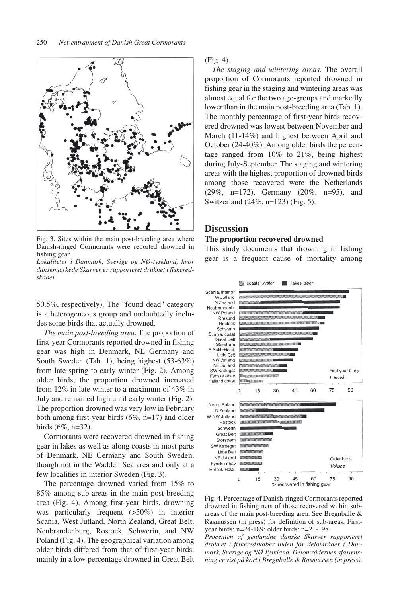

Fig. 3. Sites within the main post-breeding area where Danish-ringed Cormorants were reported drowned in fishing gear.

*Lokaliteter i Danmark, Sverige og NØ-tyskland, hvor danskmærkede Skarver er rapporteret druknet i fiskeredskaber.*

50.5%, respectively). The "found dead" category is a heterogeneous group and undoubtedly includes some birds that actually drowned.

*The main post-breeding area.* The proportion of first-year Cormorants reported drowned in fishing gear was high in Denmark, NE Germany and South Sweden (Tab. 1), being highest (53-63%) from late spring to early winter (Fig. 2). Among older birds, the proportion drowned increased from 12% in late winter to a maximum of 43% in July and remained high until early winter (Fig. 2). The proportion drowned was very low in February both among first-year birds (6%, n=17) and older birds (6%, n=32).

Cormorants were recovered drowned in fishing gear in lakes as well as along coasts in most parts of Denmark, NE Germany and South Sweden, though not in the Wadden Sea area and only at a few localities in interior Sweden (Fig. 3).

The percentage drowned varied from 15% to 85% among sub-areas in the main post-breeding area (Fig. 4). Among first-year birds, drowning was particularly frequent (>50%) in interior Scania, West Jutland, North Zealand, Great Belt, Neubrandenburg, Rostock, Schwerin, and NW Poland (Fig. 4). The geographical variation among older birds differed from that of first-year birds, mainly in a low percentage drowned in Great Belt (Fig. 4).

*The staging and wintering areas.* The overall proportion of Cormorants reported drowned in fishing gear in the staging and wintering areas was almost equal for the two age-groups and markedly lower than in the main post-breeding area (Tab. 1). The monthly percentage of first-year birds recovered drowned was lowest between November and March (11-14%) and highest between April and October (24-40%). Among older birds the percentage ranged from 10% to 21%, being highest during July-September. The staging and wintering areas with the highest proportion of drowned birds among those recovered were the Netherlands (29%, n=172), Germany (20%, n=95), and Switzerland (24%, n=123) (Fig. 5).

## **Discussion**

#### **The proportion recovered drowned**

This study documents that drowning in fishing gear is a frequent cause of mortality among



Fig. 4. Percentage of Danish-ringed Cormorants reported drowned in fishing nets of those recovered within subareas of the main post-breeding area. See Bregnballe & Rasmussen (in press) for definition of sub-areas. Firstyear birds: n=24-189; older birds: n=21-198.

*Procenten af genfundne danske Skarver rapporteret druknet i fiskeredskaber inden for delområder i Danmark, Sverige og NØ Tyskland. Delområdernes afgrænsning er vist på kort i Bregnballe & Rasmussen (in press).*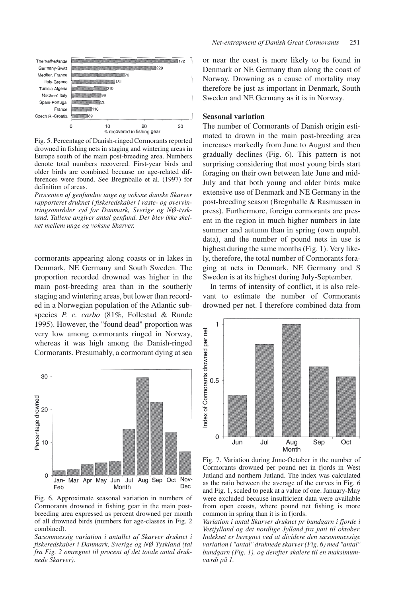

Fig. 5. Percentage of Danish-ringed Cormorants reported drowned in fishing nets in staging and wintering areas in Europe south of the main post-breeding area. Numbers denote total numbers recovered. First-year birds and older birds are combined because no age-related differences were found. See Bregnballe et al. (1997) for definition of areas.

*Procenten af genfundne unge og voksne danske Skarver rapporteret druknet i fiskeredskaber i raste- og overvintringsområder syd for Danmark, Sverige og NØ-tyskland. Tallene angiver antal genfund. Der blev ikke skelnet mellem unge og voksne Skarver.*

cormorants appearing along coasts or in lakes in Denmark, NE Germany and South Sweden. The proportion recorded drowned was higher in the main post-breeding area than in the southerly staging and wintering areas, but lower than recorded in a Norwegian population of the Atlantic subspecies *P. c. carbo* (81%, Follestad & Runde 1995). However, the "found dead" proportion was very low among cormorants ringed in Norway, whereas it was high among the Danish-ringed Cormorants. Presumably, a cormorant dying at sea



Fig. 6. Approximate seasonal variation in numbers of Cormorants drowned in fishing gear in the main postbreeding area expressed as percent drowned per month of all drowned birds (numbers for age-classes in Fig. 2 combined).

*Sæsonmæssig variation i antallet af Skarver druknet i fiskeredskaber i Danmark, Sverige og NØ Tyskland (tal fra Fig. 2 omregnet til procent af det totale antal druknede Skarver).*

or near the coast is more likely to be found in Denmark or NE Germany than along the coast of Norway. Drowning as a cause of mortality may therefore be just as important in Denmark, South Sweden and NE Germany as it is in Norway.

# **Seasonal variation**

The number of Cormorants of Danish origin estimated to drown in the main post-breeding area increases markedly from June to August and then gradually declines (Fig. 6). This pattern is not surprising considering that most young birds start foraging on their own between late June and mid-July and that both young and older birds make extensive use of Denmark and NE Germany in the post-breeding season (Bregnballe & Rasmussen in press). Furthermore, foreign cormorants are present in the region in much higher numbers in late summer and autumn than in spring (own unpubl. data), and the number of pound nets in use is highest during the same months (Fig. 1). Very likely, therefore, the total number of Cormorants foraging at nets in Denmark, NE Germany and S Sweden is at its highest during July-September.

In terms of intensity of conflict, it is also relevant to estimate the number of Cormorants drowned per net. I therefore combined data from



Fig. 7. Variation during June-October in the number of Cormorants drowned per pound net in fjords in West Jutland and northern Jutland. The index was calculated as the ratio between the average of the curves in Fig. 6 and Fig. 1, scaled to peak at a value of one. January-May were excluded because insufficient data were available from open coasts, where pound net fishing is more common in spring than it is in fjords.

*Variation i antal Skarver druknet pr bundgarn i fjorde i Vestjylland og det nordlige Jylland fra juni til oktober. Indekset er beregnet ved at dividere den sæsonmæssige variation i "antal" druknede skarver (Fig. 6) med "antal" bundgarn (Fig. 1), og derefter skalere til en maksimumværdi på 1.*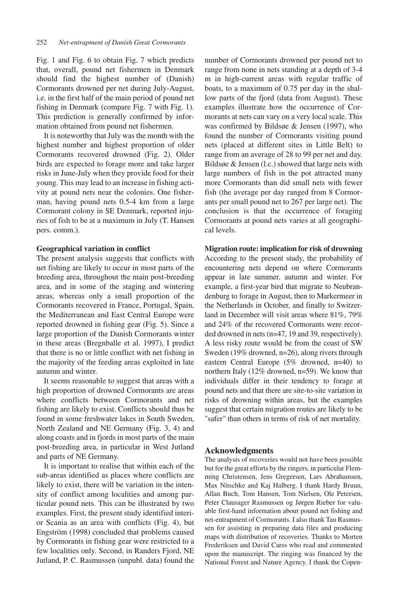Fig. 1 and Fig. 6 to obtain Fig. 7 which predicts that, overall, pound net fishermen in Denmark should find the highest number of (Danish) Cormorants drowned per net during July-August, i.e. in the first half of the main period of pound net fishing in Denmark (compare Fig. 7 with Fig. 1). This prediction is generally confirmed by information obtained from pound net fishermen.

It is noteworthy that July was the month with the highest number and highest proportion of older Cormorants recovered drowned (Fig. 2). Older birds are expected to forage more and take larger risks in June-July when they provide food for their young. This may lead to an increase in fishing activity at pound nets near the colonies. One fisherman, having pound nets 0.5-4 km from a large Cormorant colony in SE Denmark, reported injuries of fish to be at a maximum in July (T. Hansen pers. comm.).

#### **Geographical variation in conflict**

The present analysis suggests that conflicts with net fishing are likely to occur in most parts of the breeding area, throughout the main post-breeding area, and in some of the staging and wintering areas, whereas only a small proportion of the Cormorants recovered in France, Portugal, Spain, the Mediterranean and East Central Europe were reported drowned in fishing gear (Fig. 5). Since a large proportion of the Danish Cormorants winter in these areas (Bregnballe et al. 1997), I predict that there is no or little conflict with net fishing in the majority of the feeding areas exploited in late autumn and winter.

It seems reasonable to suggest that areas with a high proportion of drowned Cormorants are areas where conflicts between Cormorants and net fishing are likely to exist. Conflicts should thus be found in some freshwater lakes in South Sweden, North Zealand and NE Germany (Fig. 3, 4) and along coasts and in fjords in most parts of the main post-breeding area, in particular in West Jutland and parts of NE Germany.

It is important to realise that within each of the sub-areas identified as places where conflicts are likely to exist, there will be variation in the intensity of conflict among localities and among particular pound nets. This can be illustrated by two examples. First, the present study identified interior Scania as an area with conflicts (Fig. 4), but Engström (1998) concluded that problems caused by Cormorants in fishing gear were restricted to a few localities only. Second, in Randers Fjord, NE Jutland, P. C. Rasmussen (unpubl. data) found the number of Cormorants drowned per pound net to range from none in nets standing at a depth of 3-4 m in high-current areas with regular traffic of boats, to a maximum of 0.75 per day in the shallow parts of the fjord (data from August). These examples illustrate how the occurrence of Cormorants at nets can vary on a very local scale. This was confirmed by Bildsøe & Jensen (1997), who found the number of Cormorants visiting pound nets (placed at different sites in Little Belt) to range from an average of 28 to 99 per net and day. Bildsøe & Jensen (l.c.) showed that large nets with large numbers of fish in the pot attracted many more Cormorants than did small nets with fewer fish (the average per day ranged from 8 Cormorants per small pound net to 267 per large net). The conclusion is that the occurrence of foraging Cormorants at pound nets varies at all geographical levels.

# **Migration route: implication for risk of drowning**

According to the present study, the probability of encountering nets depend on where Cormorants appear in late summer, autumn and winter. For example, a first-year bird that migrate to Neubrandenburg to forage in August, then to Markermeer in the Netherlands in October, and finally to Switzerland in December will visit areas where 81%, 79% and 24% of the recovered Cormorants were recorded drowned in nets (n=47, 19 and 39, respectively). A less risky route would be from the coast of SW Sweden (19% drowned, n=26), along rivers through eastern Central Europe (5% drowned, n=40) to northern Italy (12% drowned, n=59). We know that individuals differ in their tendency to forage at pound nets and that there are site-to-site variation in risks of drowning within areas, but the examples suggest that certain migration routes are likely to be "safer" than others in terms of risk of net mortality.

## **Acknowledgments**

The analysis of recoveries would not have been possible but for the great efforts by the ringers, in particular Flemming Christensen, Jens Gregersen, Lars Abrahamsen, Max Nitschke and Kaj Halberg. I thank Hardy Bruun, Allan Buch, Tom Hansen, Tom Nielsen, Ole Petersen, Peter Clausager Rasmussen og Jørgen Rieber for valuable first-hand information about pound net fishing and net-entrapment of Cormorants. I also thank Tau Rasmussen for assisting in preparing data files and producing maps with distribution of recoveries. Thanks to Morten Frederiksen and David Carss who read and commented upon the manuscript. The ringing was financed by the National Forest and Nature Agency. I thank the Copen-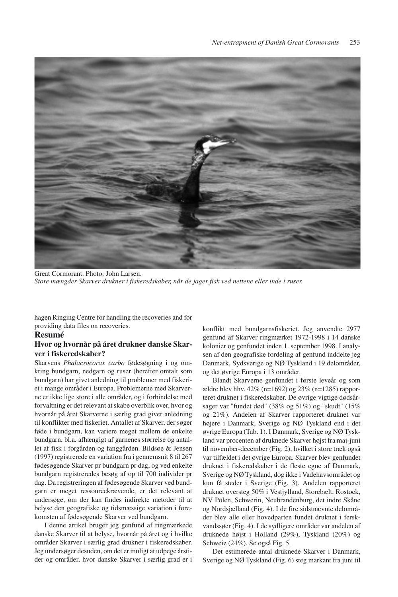

Great Cormorant. Photo: John Larsen. *Store mængder Skarver drukner i fiskeredskaber, når de jager fisk ved nettene eller inde i ruser.*

hagen Ringing Centre for handling the recoveries and for providing data files on recoveries.

#### **Resumé**

## **Hvor og hvornår på året drukner danske Skarver i fiskeredskaber?**

Skarvens *Phalacrocorax carbo* fødesøgning i og omkring bundgarn, nedgarn og ruser (herefter omtalt som bundgarn) har givet anledning til problemer med fiskeriet i mange områder i Europa. Problemerne med Skarverne er ikke lige store i alle områder, og i forbindelse med forvaltning er det relevant at skabe overblik over, hvor og hvornår på året Skarverne i særlig grad giver anledning til konflikter med fiskeriet. Antallet af Skarver, der søger føde i bundgarn, kan variere meget mellem de enkelte bundgarn, bl.a. afhængigt af garnenes størrelse og antallet af fisk i forgården og fanggården. Bildsøe & Jensen (1997) registrerede en variation fra i gennemsnit 8 til 267 fødesøgende Skarver pr bundgarn pr dag, og ved enkelte bundgarn registreredes besøg af op til 700 individer pr dag. Da registreringen af fødesøgende Skarver ved bundgarn er meget ressourcekrævende, er det relevant at undersøge, om der kan findes indirekte metoder til at belyse den geografiske og tidsmæssige variation i forekomsten af fødesøgende Skarver ved bundgarn.

I denne artikel bruger jeg genfund af ringmærkede danske Skarver til at belyse, hvornår på året og i hvilke områder Skarver i særlig grad drukner i fiskeredskaber. Jeg undersøger desuden, om det er muligt at udpege årstider og områder, hvor danske Skarver i særlig grad er i konflikt med bundgarnsfiskeriet. Jeg anvendte 2977 genfund af Skarver ringmærket 1972-1998 i 14 danske kolonier og genfundet inden 1. september 1998. I analysen af den geografiske fordeling af genfund inddelte jeg Danmark, Sydsverige og NØ Tyskland i 19 delområder, og det øvrige Europa i 13 områder.

Blandt Skarverne genfundet i første leveår og som ældre blev hhv. 42% (n=1692) og 23% (n=1285) rapporteret druknet i fiskeredskaber. De øvrige vigtige dødsårsager var "fundet død" (38% og 51%) og "skudt" (15% og 21%). Andelen af Skarver rapporteret druknet var højere i Danmark, Sverige og NØ Tyskland end i det øvrige Europa (Tab. 1). I Danmark, Sverige og NØ Tyskland var procenten af druknede Skarver højst fra maj-juni til november-december (Fig. 2), hvilket i store træk også var tilfældet i det øvrige Europa. Skarver blev genfundet druknet i fiskeredskaber i de fleste egne af Danmark, Sverige og NØ Tyskland, dog ikke i Vadehavsområdet og kun få steder i Sverige (Fig. 3). Andelen rapporteret druknet oversteg 50% i Vestjylland, Storebælt, Rostock, NV Polen, Schwerin, Neubrandenburg, det indre Skåne og Nordsjælland (Fig. 4). I de fire sidstnævnte delområder blev alle eller hovedparten fundet druknet i ferskvandssøer (Fig. 4). I de sydligere områder var andelen af druknede højst i Holland (29%), Tyskland (20%) og Schweiz (24%). Se også Fig. 5.

Det estimerede antal druknede Skarver i Danmark, Sverige og NØ Tyskland (Fig. 6) steg markant fra juni til